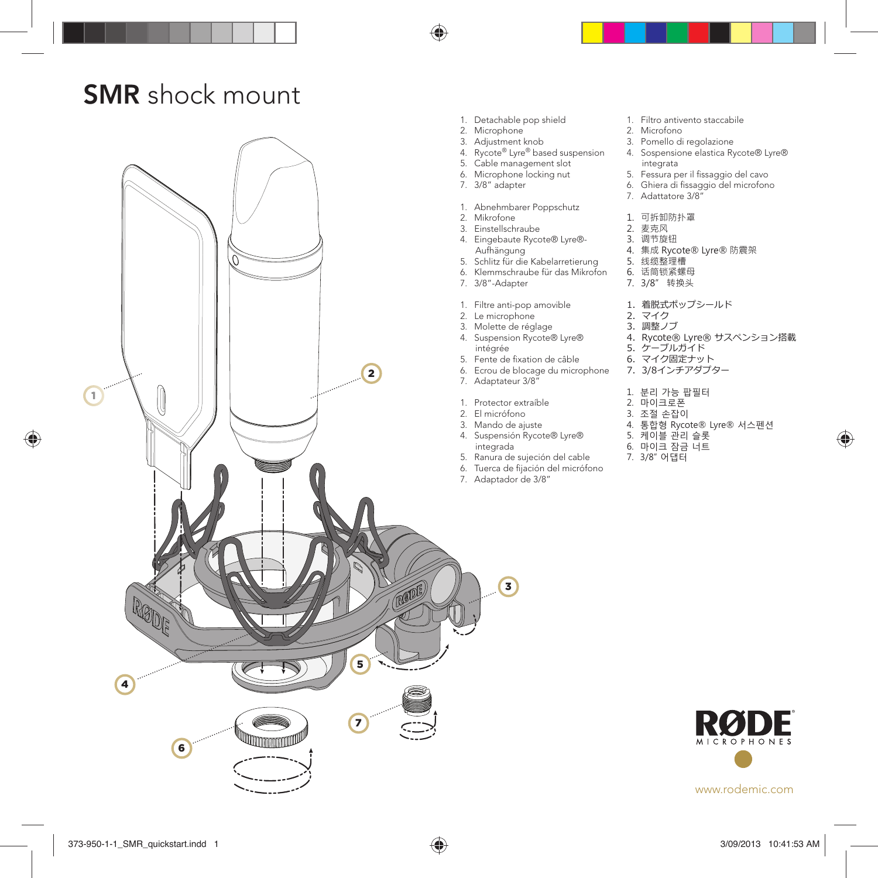### SMR shock mount



♠

◈

♠